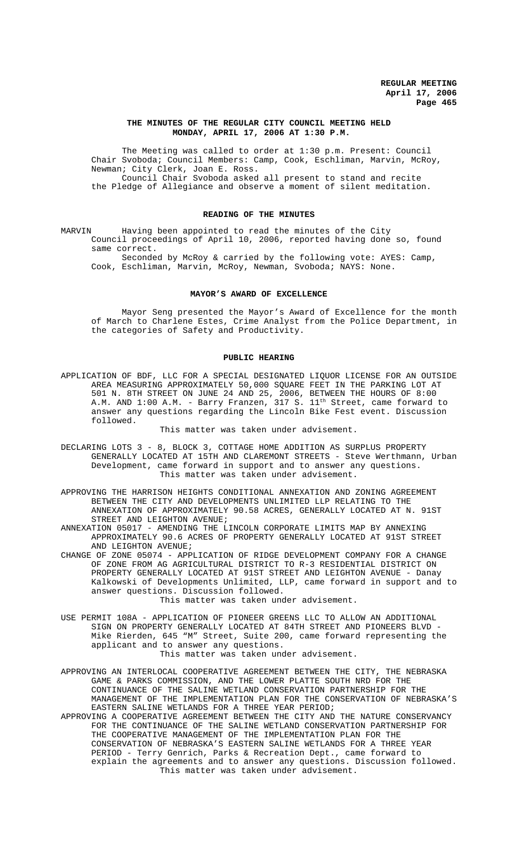## **THE MINUTES OF THE REGULAR CITY COUNCIL MEETING HELD MONDAY, APRIL 17, 2006 AT 1:30 P.M.**

The Meeting was called to order at 1:30 p.m. Present: Council Chair Svoboda; Council Members: Camp, Cook, Eschliman, Marvin, McRoy, Newman; City Clerk, Joan E. Ross. Council Chair Svoboda asked all present to stand and recite the Pledge of Allegiance and observe a moment of silent meditation.

### **READING OF THE MINUTES**

MARVIN Having been appointed to read the minutes of the City Council proceedings of April 10, 2006, reported having done so, found same correct.

Seconded by McRoy & carried by the following vote: AYES: Camp, Cook, Eschliman, Marvin, McRoy, Newman, Svoboda; NAYS: None.

#### **MAYOR'S AWARD OF EXCELLENCE**

Mayor Seng presented the Mayor's Award of Excellence for the month of March to Charlene Estes, Crime Analyst from the Police Department, in the categories of Safety and Productivity.

## **PUBLIC HEARING**

APPLICATION OF BDF, LLC FOR A SPECIAL DESIGNATED LIQUOR LICENSE FOR AN OUTSIDE AREA MEASURING APPROXIMATELY 50,000 SQUARE FEET IN THE PARKING LOT AT 501 N. 8TH STREET ON JUNE 24 AND 25, 2006, BETWEEN THE HOURS OF 8:00 A.M. AND  $1:00$  A.M. - Barry Franzen, 317 S.  $11^{\text{th}}$  Street, came forward to answer any questions regarding the Lincoln Bike Fest event. Discussion followed.

This matter was taken under advisement.

- DECLARING LOTS 3 8, BLOCK 3, COTTAGE HOME ADDITION AS SURPLUS PROPERTY GENERALLY LOCATED AT 15TH AND CLAREMONT STREETS - Steve Werthmann, Urban Development, came forward in support and to answer any questions. This matter was taken under advisement.
- APPROVING THE HARRISON HEIGHTS CONDITIONAL ANNEXATION AND ZONING AGREEMENT BETWEEN THE CITY AND DEVELOPMENTS UNLIMITED LLP RELATING TO THE ANNEXATION OF APPROXIMATELY 90.58 ACRES, GENERALLY LOCATED AT N. 91ST STREET AND LEIGHTON AVENUE;
- ANNEXATION 05017 AMENDING THE LINCOLN CORPORATE LIMITS MAP BY ANNEXING APPROXIMATELY 90.6 ACRES OF PROPERTY GENERALLY LOCATED AT 91ST STREET AND LEIGHTON AVENUE;
- CHANGE OF ZONE 05074 APPLICATION OF RIDGE DEVELOPMENT COMPANY FOR A CHANGE OF ZONE FROM AG AGRICULTURAL DISTRICT TO R-3 RESIDENTIAL DISTRICT ON PROPERTY GENERALLY LOCATED AT 91ST STREET AND LEIGHTON AVENUE - Danay Kalkowski of Developments Unlimited, LLP, came forward in support and to answer questions. Discussion followed. This matter was taken under advisement.
- USE PERMIT 108A APPLICATION OF PIONEER GREENS LLC TO ALLOW AN ADDITIONAL
- SIGN ON PROPERTY GENERALLY LOCATED AT 84TH STREET AND PIONEERS BLVD Mike Rierden, 645 "M" Street, Suite 200, came forward representing the applicant and to answer any questions. This matter was taken under advisement.
- APPROVING AN INTERLOCAL COOPERATIVE AGREEMENT BETWEEN THE CITY, THE NEBRASKA GAME & PARKS COMMISSION, AND THE LOWER PLATTE SOUTH NRD FOR THE CONTINUANCE OF THE SALINE WETLAND CONSERVATION PARTNERSHIP FOR THE MANAGEMENT OF THE IMPLEMENTATION PLAN FOR THE CONSERVATION OF NEBRASKA'S EASTERN SALINE WETLANDS FOR A THREE YEAR PERIOD;
- APPROVING A COOPERATIVE AGREEMENT BETWEEN THE CITY AND THE NATURE CONSERVANCY FOR THE CONTINUANCE OF THE SALINE WETLAND CONSERVATION PARTNERSHIP FOR THE COOPERATIVE MANAGEMENT OF THE IMPLEMENTATION PLAN FOR THE CONSERVATION OF NEBRASKA'S EASTERN SALINE WETLANDS FOR A THREE YEAR PERIOD - Terry Genrich, Parks & Recreation Dept., came forward to explain the agreements and to answer any questions. Discussion followed. This matter was taken under advisement.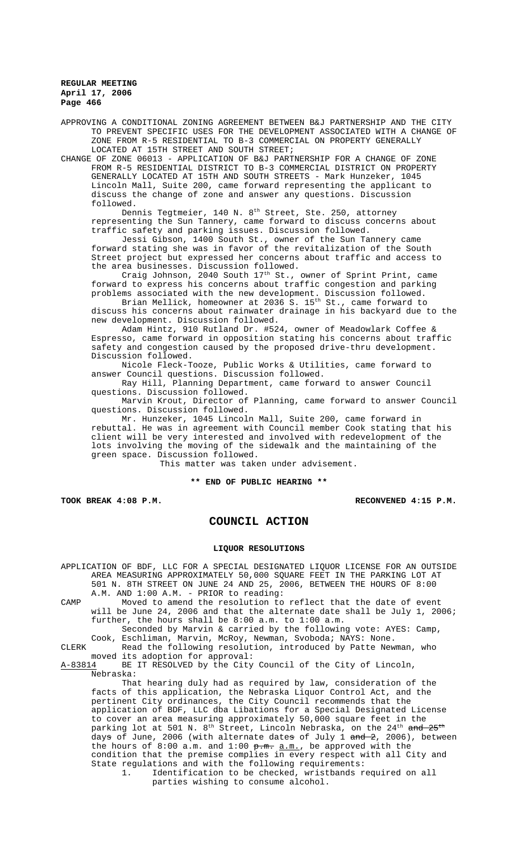APPROVING A CONDITIONAL ZONING AGREEMENT BETWEEN B&J PARTNERSHIP AND THE CITY TO PREVENT SPECIFIC USES FOR THE DEVELOPMENT ASSOCIATED WITH A CHANGE OF ZONE FROM R-5 RESIDENTIAL TO B-3 COMMERCIAL ON PROPERTY GENERALLY LOCATED AT 15TH STREET AND SOUTH STREET;

CHANGE OF ZONE 06013 - APPLICATION OF B&J PARTNERSHIP FOR A CHANGE OF ZONE FROM R-5 RESIDENTIAL DISTRICT TO B-3 COMMERCIAL DISTRICT ON PROPERTY GENERALLY LOCATED AT 15TH AND SOUTH STREETS - Mark Hunzeker, 1045 Lincoln Mall, Suite 200, came forward representing the applicant to discuss the change of zone and answer any questions. Discussion followed.

Dennis Tegtmeier, 140 N. 8<sup>th</sup> Street, Ste. 250, attorney representing the Sun Tannery, came forward to discuss concerns about traffic safety and parking issues. Discussion followed.

Jessi Gibson, 1400 South St., owner of the Sun Tannery came forward stating she was in favor of the revitalization of the South Street project but expressed her concerns about traffic and access to the area businesses. Discussion followed.

Craig Johnson, 2040 South 17<sup>th</sup> St., owner of Sprint Print, came forward to express his concerns about traffic congestion and parking problems associated with the new development. Discussion followed.

Brian Mellick, homeowner at 2036 S. 15<sup>th</sup> St., came forward to discuss his concerns about rainwater drainage in his backyard due to the new development. Discussion followed.

Adam Hintz, 910 Rutland Dr. #524, owner of Meadowlark Coffee & Espresso, came forward in opposition stating his concerns about traffic safety and congestion caused by the proposed drive-thru development. Discussion followed.

Nicole Fleck-Tooze, Public Works & Utilities, came forward to answer Council questions. Discussion followed.

Ray Hill, Planning Department, came forward to answer Council questions. Discussion followed.

Marvin Krout, Director of Planning, came forward to answer Council questions. Discussion followed.

Mr. Hunzeker, 1045 Lincoln Mall, Suite 200, came forward in rebuttal. He was in agreement with Council member Cook stating that his client will be very interested and involved with redevelopment of the lots involving the moving of the sidewalk and the maintaining of the green space. Discussion followed.

This matter was taken under advisement.

**\*\* END OF PUBLIC HEARING \*\***

**TOOK BREAK 4:08 P.M. RECONVENED 4:15 P.M.**

# **COUNCIL ACTION**

#### **LIQUOR RESOLUTIONS**

APPLICATION OF BDF, LLC FOR A SPECIAL DESIGNATED LIQUOR LICENSE FOR AN OUTSIDE AREA MEASURING APPROXIMATELY 50,000 SQUARE FEET IN THE PARKING LOT AT 501 N. 8TH STREET ON JUNE 24 AND 25, 2006, BETWEEN THE HOURS OF 8:00 A.M. AND 1:00 A.M. - PRIOR to reading: CAMP Moved to amend the resolution to reflect that the date of event will be June 24, 2006 and that the alternate date shall be July 1, 2006;

further, the hours shall be 8:00 a.m. to 1:00 a.m. Seconded by Marvin & carried by the following vote: AYES: Camp,

Cook, Eschliman, Marvin, McRoy, Newman, Svoboda; NAYS: None. CLERK Read the following resolution, introduced by Patte Newman, who

moved its adoption for approval:<br>A-83814 BE IT RESOLVED by the City BE IT RESOLVED by the City Council of the City of Lincoln, Nebraska:

That hearing duly had as required by law, consideration of the facts of this application, the Nebraska Liquor Control Act, and the pertinent City ordinances, the City Council recommends that the application of BDF, LLC dba Libations for a Special Designated License to cover an area measuring approximately 50,000 square feet in the parking lot at 501 N.  $8^{th}$  Street, Lincoln Nebraska, on the 24<sup>th</sup> and  $25^{th}$ days of June, 2006 (with alternate dates of July 1 and 2, 2006), between the hours of  $8:00$  a.m. and  $1:00$   $\frac{1}{2}$ .m.  $\frac{1}{2}$  a.m., be approved with the condition that the premise complies in every respect with all City and State regulations and with the following requirements: 1. Identification to be checked, wristbands required on all

parties wishing to consume alcohol.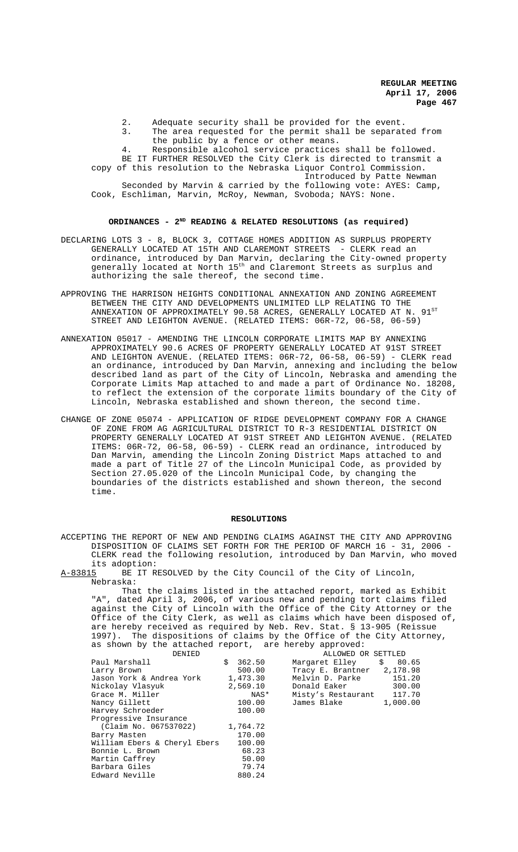2. Adequate security shall be provided for the event. 3. The area requested for the permit shall be separated from the public by a fence or other means. 4. Responsible alcohol service practices shall be followed. BE IT FURTHER RESOLVED the City Clerk is directed to transmit a copy of this resolution to the Nebraska Liquor Control Commission. Introduced by Patte Newman Seconded by Marvin & carried by the following vote: AYES: Camp, Cook, Eschliman, Marvin, McRoy, Newman, Svoboda; NAYS: None.

### **ORDINANCES - 2ND READING & RELATED RESOLUTIONS (as required)**

- DECLARING LOTS 3 8, BLOCK 3, COTTAGE HOMES ADDITION AS SURPLUS PROPERTY GENERALLY LOCATED AT 15TH AND CLAREMONT STREETS - CLERK read an ordinance, introduced by Dan Marvin, declaring the City-owned property generally located at North 15th and Claremont Streets as surplus and authorizing the sale thereof, the second time.
- APPROVING THE HARRISON HEIGHTS CONDITIONAL ANNEXATION AND ZONING AGREEMENT BETWEEN THE CITY AND DEVELOPMENTS UNLIMITED LLP RELATING TO THE ANNEXATION OF APPROXIMATELY 90.58 ACRES, GENERALLY LOCATED AT N.  $91^{ST}$ STREET AND LEIGHTON AVENUE. (RELATED ITEMS: 06R-72, 06-58, 06-59)
- ANNEXATION 05017 AMENDING THE LINCOLN CORPORATE LIMITS MAP BY ANNEXING APPROXIMATELY 90.6 ACRES OF PROPERTY GENERALLY LOCATED AT 91ST STREET AND LEIGHTON AVENUE. (RELATED ITEMS: 06R-72, 06-58, 06-59) - CLERK read an ordinance, introduced by Dan Marvin, annexing and including the below described land as part of the City of Lincoln, Nebraska and amending the Corporate Limits Map attached to and made a part of Ordinance No. 18208, to reflect the extension of the corporate limits boundary of the City of Lincoln, Nebraska established and shown thereon, the second time.
- CHANGE OF ZONE 05074 APPLICATION OF RIDGE DEVELOPMENT COMPANY FOR A CHANGE OF ZONE FROM AG AGRICULTURAL DISTRICT TO R-3 RESIDENTIAL DISTRICT ON PROPERTY GENERALLY LOCATED AT 91ST STREET AND LEIGHTON AVENUE. (RELATED ITEMS: 06R-72, 06-58, 06-59) - CLERK read an ordinance, introduced by Dan Marvin, amending the Lincoln Zoning District Maps attached to and made a part of Title 27 of the Lincoln Municipal Code, as provided by Section 27.05.020 of the Lincoln Municipal Code, by changing the boundaries of the districts established and shown thereon, the second time.

#### **RESOLUTIONS**

ACCEPTING THE REPORT OF NEW AND PENDING CLAIMS AGAINST THE CITY AND APPROVING DISPOSITION OF CLAIMS SET FORTH FOR THE PERIOD OF MARCH 16 - 31, 2006 - CLERK read the following resolution, introduced by Dan Marvin, who moved its adoption:<br>A-83815 BE IT R

BE IT RESOLVED by the City Council of the City of Lincoln, Nebraska:

That the claims listed in the attached report, marked as Exhibit "A", dated April 3, 2006, of various new and pending tort claims filed against the City of Lincoln with the Office of the City Attorney or the Office of the City Clerk, as well as claims which have been disposed of, are hereby received as required by Neb. Rev. Stat. § 13-905 (Reissue 1997). The dispositions of claims by the Office of the City Attorney, as shown by the attached report, are hereby approved:

| DENIED                         |          | ALLOWED OR SETTLED         |          |
|--------------------------------|----------|----------------------------|----------|
| Paul Marshall                  | \$362.50 | Margaret Elley \$ 80.65    |          |
| Larry Brown                    | 500.00   | Tracy E. Brantner 2,178.98 |          |
| Jason York & Andrea York       | 1,473.30 | Melvin D. Parke            | 151.20   |
| Nickolay Vlasyuk               | 2,569.10 | Donald Eaker <b>South</b>  | 300.00   |
| Grace M. Miller                | NAS*     | Misty's Restaurant 117.70  |          |
| Nancy Gillett                  | 100.00   | James Blake                | 1,000.00 |
| Harvey Schroeder               | 100.00   |                            |          |
| Progressive Insurance          |          |                            |          |
| (Claim No. 067537022) 1,764.72 |          |                            |          |
| Barry Masten                   | 170.00   |                            |          |
| William Ebers & Cheryl Ebers   | 100.00   |                            |          |
| Bonnie L. Brown                | 68.23    |                            |          |
| Martin Caffrey                 | 50.00    |                            |          |
| Barbara Giles                  | 79.74    |                            |          |
| Edward Neville                 | 880.24   |                            |          |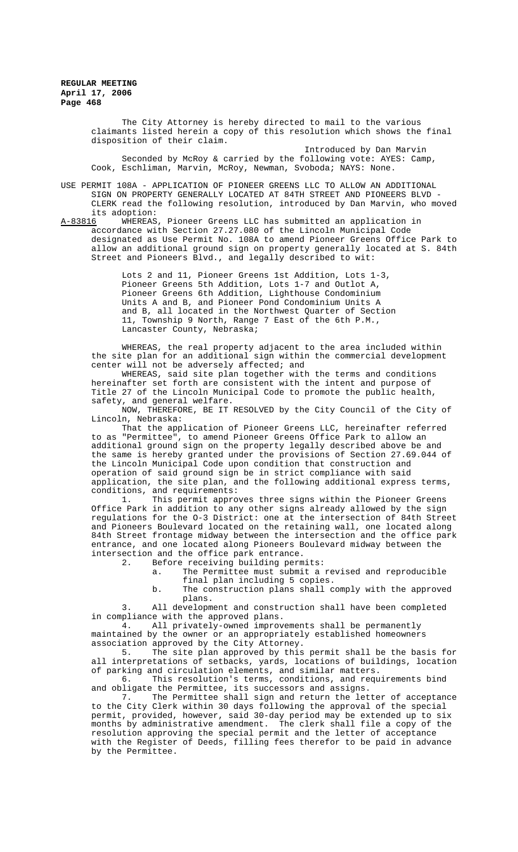> The City Attorney is hereby directed to mail to the various claimants listed herein a copy of this resolution which shows the final disposition of their claim.

Introduced by Dan Marvin Seconded by McRoy & carried by the following vote: AYES: Camp, Cook, Eschliman, Marvin, McRoy, Newman, Svoboda; NAYS: None.

USE PERMIT 108A - APPLICATION OF PIONEER GREENS LLC TO ALLOW AN ADDITIONAL SIGN ON PROPERTY GENERALLY LOCATED AT 84TH STREET AND PIONEERS BLVD - CLERK read the following resolution, introduced by Dan Marvin, who moved its adoption:<br>A-83816 WHEREAS

WHEREAS, Pioneer Greens LLC has submitted an application in accordance with Section 27.27.080 of the Lincoln Municipal Code designated as Use Permit No. 108A to amend Pioneer Greens Office Park to allow an additional ground sign on property generally located at S. 84th Street and Pioneers Blvd., and legally described to wit:

> Lots 2 and 11, Pioneer Greens 1st Addition, Lots 1-3, Pioneer Greens 5th Addition, Lots 1-7 and Outlot A, Pioneer Greens 6th Addition, Lighthouse Condominium Units A and B, and Pioneer Pond Condominium Units A and B, all located in the Northwest Quarter of Section 11, Township 9 North, Range 7 East of the 6th P.M., Lancaster County, Nebraska;

WHEREAS, the real property adjacent to the area included within the site plan for an additional sign within the commercial development center will not be adversely affected; and

WHEREAS, said site plan together with the terms and conditions hereinafter set forth are consistent with the intent and purpose of Title 27 of the Lincoln Municipal Code to promote the public health, safety, and general welfare.

NOW, THEREFORE, BE IT RESOLVED by the City Council of the City of Lincoln, Nebraska:

That the application of Pioneer Greens LLC, hereinafter referred to as "Permittee", to amend Pioneer Greens Office Park to allow an additional ground sign on the property legally described above be and the same is hereby granted under the provisions of Section 27.69.044 of the Lincoln Municipal Code upon condition that construction and operation of said ground sign be in strict compliance with said application, the site plan, and the following additional express terms, conditions, and requirements:

1. This permit approves three signs within the Pioneer Greens Office Park in addition to any other signs already allowed by the sign regulations for the O-3 District: one at the intersection of 84th Street and Pioneers Boulevard located on the retaining wall, one located along 84th Street frontage midway between the intersection and the office park entrance, and one located along Pioneers Boulevard midway between the intersection and the office park entrance.<br>2. Before receiving building perm

Before receiving building permits:

- a. The Permittee must submit a revised and reproducible final plan including 5 copies.
- b. The construction plans shall comply with the approved plans.

3. All development and construction shall have been completed in compliance with the approved plans.

4. All privately-owned improvements shall be permanently maintained by the owner or an appropriately established homeowners association approved by the City Attorney.

5. The site plan approved by this permit shall be the basis for all interpretations of setbacks, yards, locations of buildings, location of parking and circulation elements, and similar matters.

6. This resolution's terms, conditions, and requirements bind and obligate the Permittee, its successors and assigns.

The Permittee shall sign and return the letter of acceptance to the City Clerk within 30 days following the approval of the special permit, provided, however, said 30-day period may be extended up to six months by administrative amendment. The clerk shall file a copy of the resolution approving the special permit and the letter of acceptance with the Register of Deeds, filling fees therefor to be paid in advance by the Permittee.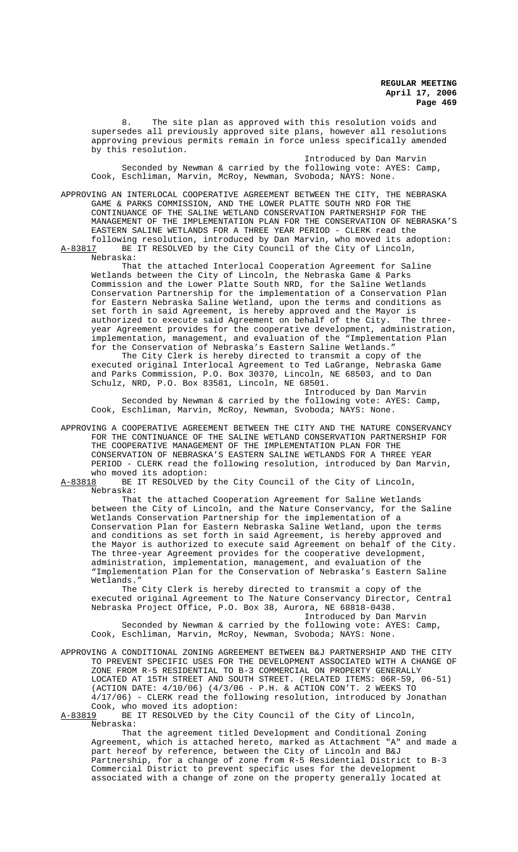8. The site plan as approved with this resolution voids and supersedes all previously approved site plans, however all resolutions approving previous permits remain in force unless specifically amended by this resolution.

Introduced by Dan Marvin Seconded by Newman & carried by the following vote: AYES: Camp, Cook, Eschliman, Marvin, McRoy, Newman, Svoboda; NAYS: None.

APPROVING AN INTERLOCAL COOPERATIVE AGREEMENT BETWEEN THE CITY, THE NEBRASKA GAME & PARKS COMMISSION, AND THE LOWER PLATTE SOUTH NRD FOR THE CONTINUANCE OF THE SALINE WETLAND CONSERVATION PARTNERSHIP FOR THE MANAGEMENT OF THE IMPLEMENTATION PLAN FOR THE CONSERVATION OF NEBRASKA'S EASTERN SALINE WETLANDS FOR A THREE YEAR PERIOD - CLERK read the following resolution, introduced by Dan Marvin, who moved its adoption:

A-83817 BE IT RESOLVED by the City Council of the City of Lincoln, Nebraska:

That the attached Interlocal Cooperation Agreement for Saline Wetlands between the City of Lincoln, the Nebraska Game & Parks Commission and the Lower Platte South NRD, for the Saline Wetlands Conservation Partnership for the implementation of a Conservation Plan for Eastern Nebraska Saline Wetland, upon the terms and conditions as set forth in said Agreement, is hereby approved and the Mayor is authorized to execute said Agreement on behalf of the City. The threeyear Agreement provides for the cooperative development, administration, implementation, management, and evaluation of the "Implementation Plan for the Conservation of Nebraska's Eastern Saline Wetlands."

The City Clerk is hereby directed to transmit a copy of the executed original Interlocal Agreement to Ted LaGrange, Nebraska Game and Parks Commission, P.O. Box 30370, Lincoln, NE 68503, and to Dan Schulz, NRD, P.O. Box 83581, Lincoln, NE 68501.

Introduced by Dan Marvin Seconded by Newman & carried by the following vote: AYES: Camp, Cook, Eschliman, Marvin, McRoy, Newman, Svoboda; NAYS: None.

APPROVING A COOPERATIVE AGREEMENT BETWEEN THE CITY AND THE NATURE CONSERVANCY FOR THE CONTINUANCE OF THE SALINE WETLAND CONSERVATION PARTNERSHIP FOR THE COOPERATIVE MANAGEMENT OF THE IMPLEMENTATION PLAN FOR THE CONSERVATION OF NEBRASKA'S EASTERN SALINE WETLANDS FOR A THREE YEAR PERIOD - CLERK read the following resolution, introduced by Dan Marvin, who moved its adoption:<br>A-83818 BE IT RESOLVED by

BE IT RESOLVED by the City Council of the City of Lincoln, Nebraska:

That the attached Cooperation Agreement for Saline Wetlands between the City of Lincoln, and the Nature Conservancy, for the Saline Wetlands Conservation Partnership for the implementation of a Conservation Plan for Eastern Nebraska Saline Wetland, upon the terms and conditions as set forth in said Agreement, is hereby approved and the Mayor is authorized to execute said Agreement on behalf of the City. The three-year Agreement provides for the cooperative development, administration, implementation, management, and evaluation of the "Implementation Plan for the Conservation of Nebraska's Eastern Saline Wetlands."

The City Clerk is hereby directed to transmit a copy of the executed original Agreement to The Nature Conservancy Director, Central Nebraska Project Office, P.O. Box 38, Aurora, NE 68818-0438.

Introduced by Dan Marvin Seconded by Newman & carried by the following vote: AYES: Camp, Cook, Eschliman, Marvin, McRoy, Newman, Svoboda; NAYS: None.

APPROVING A CONDITIONAL ZONING AGREEMENT BETWEEN B&J PARTNERSHIP AND THE CITY TO PREVENT SPECIFIC USES FOR THE DEVELOPMENT ASSOCIATED WITH A CHANGE OF ZONE FROM R-5 RESIDENTIAL TO B-3 COMMERCIAL ON PROPERTY GENERALLY LOCATED AT 15TH STREET AND SOUTH STREET. (RELATED ITEMS: 06R-59, 06-51) (ACTION DATE: 4/10/06) (4/3/06 - P.H. & ACTION CON'T. 2 WEEKS TO 4/17/06) - CLERK read the following resolution, introduced by Jonathan Cook, who moved its adoption:<br>A-83819 BE IT RESOLVED by the C

BE IT RESOLVED by the City Council of the City of Lincoln, Nebraska:

That the agreement titled Development and Conditional Zoning Agreement, which is attached hereto, marked as Attachment "A" and made a part hereof by reference, between the City of Lincoln and B&J Partnership, for a change of zone from R-5 Residential District to B-3 Commercial District to prevent specific uses for the development associated with a change of zone on the property generally located at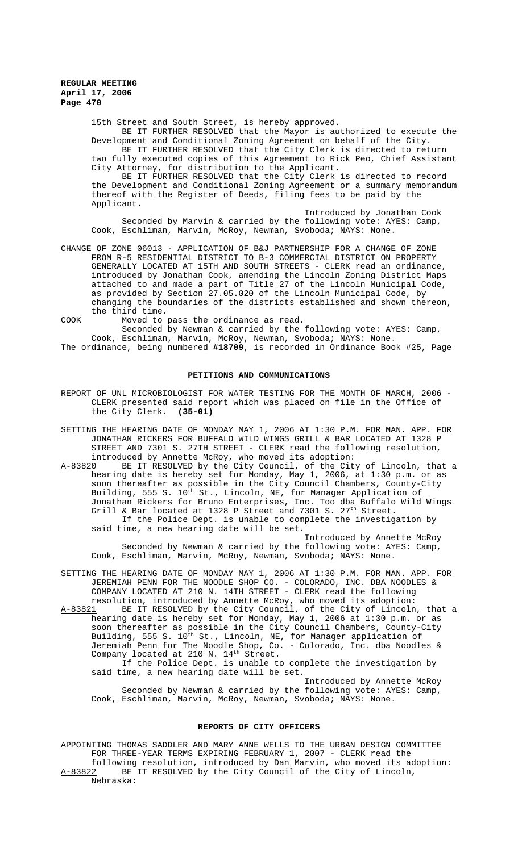15th Street and South Street, is hereby approved. BE IT FURTHER RESOLVED that the Mayor is authorized to execute the Development and Conditional Zoning Agreement on behalf of the City. BE IT FURTHER RESOLVED that the City Clerk is directed to return

two fully executed copies of this Agreement to Rick Peo, Chief Assistant City Attorney, for distribution to the Applicant. BE IT FURTHER RESOLVED that the City Clerk is directed to record

the Development and Conditional Zoning Agreement or a summary memorandum thereof with the Register of Deeds, filing fees to be paid by the Applicant.

Introduced by Jonathan Cook Seconded by Marvin & carried by the following vote: AYES: Camp, Cook, Eschliman, Marvin, McRoy, Newman, Svoboda; NAYS: None.

CHANGE OF ZONE 06013 - APPLICATION OF B&J PARTNERSHIP FOR A CHANGE OF ZONE FROM R-5 RESIDENTIAL DISTRICT TO B-3 COMMERCIAL DISTRICT ON PROPERTY GENERALLY LOCATED AT 15TH AND SOUTH STREETS - CLERK read an ordinance, introduced by Jonathan Cook, amending the Lincoln Zoning District Maps attached to and made a part of Title 27 of the Lincoln Municipal Code, as provided by Section 27.05.020 of the Lincoln Municipal Code, by changing the boundaries of the districts established and shown thereon, the third time.

COOK Moved to pass the ordinance as read.

Seconded by Newman & carried by the following vote: AYES: Camp, Cook, Eschliman, Marvin, McRoy, Newman, Svoboda; NAYS: None. The ordinance, being numbered **#18709**, is recorded in Ordinance Book #25, Page

# **PETITIONS AND COMMUNICATIONS**

REPORT OF UNL MICROBIOLOGIST FOR WATER TESTING FOR THE MONTH OF MARCH, 2006 -CLERK presented said report which was placed on file in the Office of the City Clerk. **(35-01)**

SETTING THE HEARING DATE OF MONDAY MAY 1, 2006 AT 1:30 P.M. FOR MAN. APP. FOR JONATHAN RICKERS FOR BUFFALO WILD WINGS GRILL & BAR LOCATED AT 1328 P STREET AND 7301 S. 27TH STREET - CLERK read the following resolution, introduced by Annette McRoy, who moved its adoption:<br>A-83820 BE IT RESOLVED by the City Council, of the Cit

BE IT RESOLVED by the City Council, of the City of Lincoln, that a hearing date is hereby set for Monday, May 1, 2006, at 1:30 p.m. or as soon thereafter as possible in the City Council Chambers, County-City Building, 555 S. 10<sup>th</sup> St., Lincoln, NE, for Manager Application of Jonathan Rickers for Bruno Enterprises, Inc. Too dba Buffalo Wild Wings Grill & Bar located at  $1328$  P Street and  $7301$  S.  $27<sup>th</sup>$  Street. If the Police Dept. is unable to complete the investigation by said time, a new hearing date will be set.

Introduced by Annette McRoy Seconded by Newman & carried by the following vote: AYES: Camp, Cook, Eschliman, Marvin, McRoy, Newman, Svoboda; NAYS: None.

SETTING THE HEARING DATE OF MONDAY MAY 1, 2006 AT 1:30 P.M. FOR MAN. APP. FOR JEREMIAH PENN FOR THE NOODLE SHOP CO. - COLORADO, INC. DBA NOODLES & COMPANY LOCATED AT 210 N. 14TH STREET - CLERK read the following resolution, introduced by Annette McRoy, who moved its adoption:<br>A-83821 BE IT RESOLVED by the City Council, of the City of Lincoln

A-83821 BE IT RESOLVED by the City Council, of the City of Lincoln, that a hearing date is hereby set for Monday, May 1, 2006 at 1:30 p.m. or as soon thereafter as possible in the City Council Chambers, County-City Building, 555 S. 10<sup>th</sup> St., Lincoln, NE, for Manager application of Jeremiah Penn for The Noodle Shop, Co. - Colorado, Inc. dba Noodles & Company located at 210 N.  $14^{th}$  Street.

If the Police Dept. is unable to complete the investigation by said time, a new hearing date will be set.

Introduced by Annette McRoy Seconded by Newman & carried by the following vote: AYES: Camp, Cook, Eschliman, Marvin, McRoy, Newman, Svoboda; NAYS: None.

#### **REPORTS OF CITY OFFICERS**

APPOINTING THOMAS SADDLER AND MARY ANNE WELLS TO THE URBAN DESIGN COMMITTEE FOR THREE-YEAR TERMS EXPIRING FEBRUARY 1, 2007 - CLERK read the following resolution, introduced by Dan Marvin, who moved its adoption:<br>A-83822 BE IT RESOLVED by the City Council of the City of Lincoln, BE IT RESOLVED by the City Council of the City of Lincoln, Nebraska: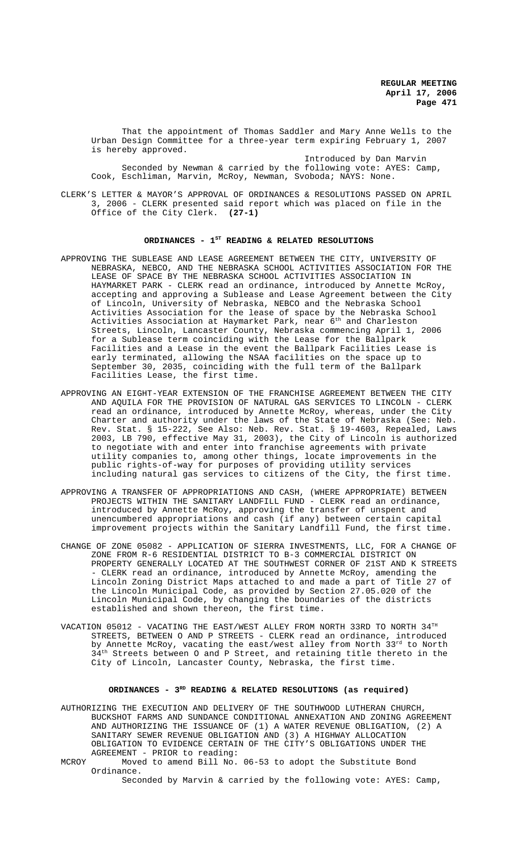That the appointment of Thomas Saddler and Mary Anne Wells to the Urban Design Committee for a three-year term expiring February 1, 2007 is hereby approved.

Introduced by Dan Marvin Seconded by Newman & carried by the following vote: AYES: Camp, Cook, Eschliman, Marvin, McRoy, Newman, Svoboda; NAYS: None.

CLERK'S LETTER & MAYOR'S APPROVAL OF ORDINANCES & RESOLUTIONS PASSED ON APRIL 3, 2006 - CLERK presented said report which was placed on file in the Office of the City Clerk. **(27-1)**

## ORDINANCES - 1<sup>st</sup> READING & RELATED RESOLUTIONS

- APPROVING THE SUBLEASE AND LEASE AGREEMENT BETWEEN THE CITY, UNIVERSITY OF NEBRASKA, NEBCO, AND THE NEBRASKA SCHOOL ACTIVITIES ASSOCIATION FOR THE LEASE OF SPACE BY THE NEBRASKA SCHOOL ACTIVITIES ASSOCIATION IN HAYMARKET PARK - CLERK read an ordinance, introduced by Annette McRoy, accepting and approving a Sublease and Lease Agreement between the City of Lincoln, University of Nebraska, NEBCO and the Nebraska School Activities Association for the lease of space by the Nebraska School Activities Association at Haymarket Park, near  $6^{\rm th}$  and Charleston Streets, Lincoln, Lancaster County, Nebraska commencing April 1, 2006 for a Sublease term coinciding with the Lease for the Ballpark Facilities and a Lease in the event the Ballpark Facilities Lease is early terminated, allowing the NSAA facilities on the space up to September 30, 2035, coinciding with the full term of the Ballpark Facilities Lease, the first time.
- APPROVING AN EIGHT-YEAR EXTENSION OF THE FRANCHISE AGREEMENT BETWEEN THE CITY AND AQUILA FOR THE PROVISION OF NATURAL GAS SERVICES TO LINCOLN - CLERK read an ordinance, introduced by Annette McRoy, whereas, under the City Charter and authority under the laws of the State of Nebraska (See: Neb. Rev. Stat. § 15-222, See Also: Neb. Rev. Stat. § 19-4603, Repealed, Laws 2003, LB 790, effective May 31, 2003), the City of Lincoln is authorized to negotiate with and enter into franchise agreements with private utility companies to, among other things, locate improvements in the public rights-of-way for purposes of providing utility services including natural gas services to citizens of the City, the first time.
- APPROVING A TRANSFER OF APPROPRIATIONS AND CASH, (WHERE APPROPRIATE) BETWEEN PROJECTS WITHIN THE SANITARY LANDFILL FUND - CLERK read an ordinance, introduced by Annette McRoy, approving the transfer of unspent and unencumbered appropriations and cash (if any) between certain capital improvement projects within the Sanitary Landfill Fund, the first time.
- CHANGE OF ZONE 05082 APPLICATION OF SIERRA INVESTMENTS, LLC, FOR A CHANGE OF ZONE FROM R-6 RESIDENTIAL DISTRICT TO B-3 COMMERCIAL DISTRICT ON PROPERTY GENERALLY LOCATED AT THE SOUTHWEST CORNER OF 21ST AND K STREETS - CLERK read an ordinance, introduced by Annette McRoy, amending the Lincoln Zoning District Maps attached to and made a part of Title 27 of the Lincoln Municipal Code, as provided by Section 27.05.020 of the Lincoln Municipal Code, by changing the boundaries of the districts established and shown thereon, the first time.
- VACATION 05012 VACATING THE EAST/WEST ALLEY FROM NORTH 33RD TO NORTH  $34^{\text{TH}}$ STREETS, BETWEEN O AND P STREETS - CLERK read an ordinance, introduced by Annette McRoy, vacating the east/west alley from North 33rd to North  $34<sup>th</sup>$  Streets between 0 and P Street, and retaining title thereto in the City of Lincoln, Lancaster County, Nebraska, the first time.

## **ORDINANCES - 3RD READING & RELATED RESOLUTIONS (as required)**

AUTHORIZING THE EXECUTION AND DELIVERY OF THE SOUTHWOOD LUTHERAN CHURCH, BUCKSHOT FARMS AND SUNDANCE CONDITIONAL ANNEXATION AND ZONING AGREEMENT AND AUTHORIZING THE ISSUANCE OF (1) A WATER REVENUE OBLIGATION, (2) A SANITARY SEWER REVENUE OBLIGATION AND (3) A HIGHWAY ALLOCATION OBLIGATION TO EVIDENCE CERTAIN OF THE CITY'S OBLIGATIONS UNDER THE AGREEMENT - PRIOR to reading:

MCROY Moved to amend Bill No. 06-53 to adopt the Substitute Bond Ordinance. Seconded by Marvin & carried by the following vote: AYES: Camp,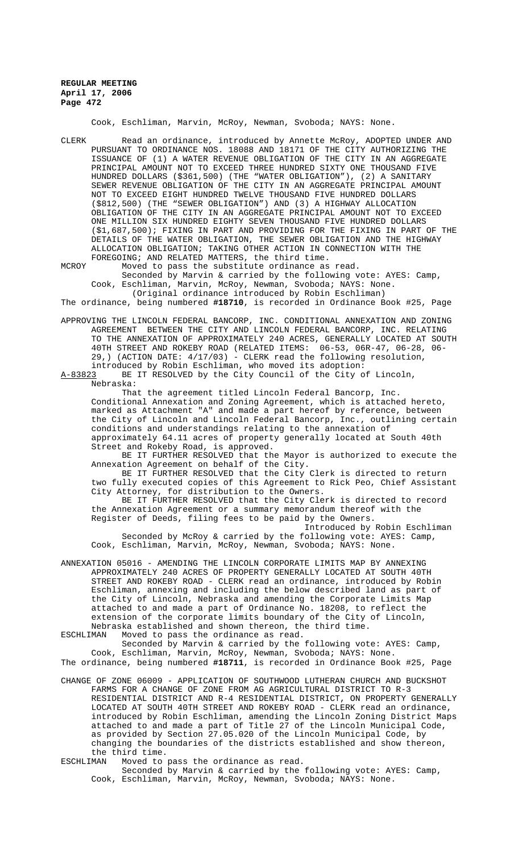Cook, Eschliman, Marvin, McRoy, Newman, Svoboda; NAYS: None.

- CLERK Read an ordinance, introduced by Annette McRoy, ADOPTED UNDER AND PURSUANT TO ORDINANCE NOS. 18088 AND 18171 OF THE CITY AUTHORIZING THE ISSUANCE OF (1) A WATER REVENUE OBLIGATION OF THE CITY IN AN AGGREGATE PRINCIPAL AMOUNT NOT TO EXCEED THREE HUNDRED SIXTY ONE THOUSAND FIVE HUNDRED DOLLARS (\$361,500) (THE "WATER OBLIGATION"), (2) A SANITARY SEWER REVENUE OBLIGATION OF THE CITY IN AN AGGREGATE PRINCIPAL AMOUNT NOT TO EXCEED EIGHT HUNDRED TWELVE THOUSAND FIVE HUNDRED DOLLARS (\$812,500) (THE "SEWER OBLIGATION") AND (3) A HIGHWAY ALLOCATION OBLIGATION OF THE CITY IN AN AGGREGATE PRINCIPAL AMOUNT NOT TO EXCEED ONE MILLION SIX HUNDRED EIGHTY SEVEN THOUSAND FIVE HUNDRED DOLLARS (\$1,687,500); FIXING IN PART AND PROVIDING FOR THE FIXING IN PART OF THE DETAILS OF THE WATER OBLIGATION, THE SEWER OBLIGATION AND THE HIGHWAY ALLOCATION OBLIGATION; TAKING OTHER ACTION IN CONNECTION WITH THE FOREGOING; AND RELATED MATTERS, the third time.
- MCROY Moved to pass the substitute ordinance as read. Seconded by Marvin & carried by the following vote: AYES: Camp, Cook, Eschliman, Marvin, McRoy, Newman, Svoboda; NAYS: None. (Original ordinance introduced by Robin Eschliman)

The ordinance, being numbered **#18710**, is recorded in Ordinance Book #25, Page

APPROVING THE LINCOLN FEDERAL BANCORP, INC. CONDITIONAL ANNEXATION AND ZONING AGREEMENT BETWEEN THE CITY AND LINCOLN FEDERAL BANCORP, INC. RELATING TO THE ANNEXATION OF APPROXIMATELY 240 ACRES, GENERALLY LOCATED AT SOUTH 40TH STREET AND ROKEBY ROAD (RELATED ITEMS: 06-53, 06R-47, 06-28, 06- 29,) (ACTION DATE: 4/17/03) - CLERK read the following resolution,

introduced by Robin Eschliman, who moved its adoption:<br>A-83823 BE IT RESOLVED by the City Council of the City o BE IT RESOLVED by the City Council of the City of Lincoln, Nebraska:

That the agreement titled Lincoln Federal Bancorp, Inc. Conditional Annexation and Zoning Agreement, which is attached hereto, marked as Attachment "A" and made a part hereof by reference, between the City of Lincoln and Lincoln Federal Bancorp, Inc., outlining certain conditions and understandings relating to the annexation of approximately 64.11 acres of property generally located at South 40th Street and Rokeby Road, is approved.

BE IT FURTHER RESOLVED that the Mayor is authorized to execute the Annexation Agreement on behalf of the City.

BE IT FURTHER RESOLVED that the City Clerk is directed to return two fully executed copies of this Agreement to Rick Peo, Chief Assistant City Attorney, for distribution to the Owners.

BE IT FURTHER RESOLVED that the City Clerk is directed to record the Annexation Agreement or a summary memorandum thereof with the Register of Deeds, filing fees to be paid by the Owners.

Introduced by Robin Eschliman Seconded by McRoy & carried by the following vote: AYES: Camp, Cook, Eschliman, Marvin, McRoy, Newman, Svoboda; NAYS: None.

ANNEXATION 05016 - AMENDING THE LINCOLN CORPORATE LIMITS MAP BY ANNEXING APPROXIMATELY 240 ACRES OF PROPERTY GENERALLY LOCATED AT SOUTH 40TH STREET AND ROKEBY ROAD - CLERK read an ordinance, introduced by Robin Eschliman, annexing and including the below described land as part of the City of Lincoln, Nebraska and amending the Corporate Limits Map attached to and made a part of Ordinance No. 18208, to reflect the extension of the corporate limits boundary of the City of Lincoln, Nebraska established and shown thereon, the third time.<br>ESCHLIMAN Woved to pass the ordinance as read.

Moved to pass the ordinance as read.

Seconded by Marvin & carried by the following vote: AYES: Camp, Cook, Eschliman, Marvin, McRoy, Newman, Svoboda; NAYS: None. The ordinance, being numbered **#18711**, is recorded in Ordinance Book #25, Page

CHANGE OF ZONE 06009 - APPLICATION OF SOUTHWOOD LUTHERAN CHURCH AND BUCKSHOT FARMS FOR A CHANGE OF ZONE FROM AG AGRICULTURAL DISTRICT TO R-3 RESIDENTIAL DISTRICT AND R-4 RESIDENTIAL DISTRICT, ON PROPERTY GENERALLY LOCATED AT SOUTH 40TH STREET AND ROKEBY ROAD - CLERK read an ordinance, introduced by Robin Eschliman, amending the Lincoln Zoning District Maps attached to and made a part of Title 27 of the Lincoln Municipal Code, as provided by Section 27.05.020 of the Lincoln Municipal Code, by changing the boundaries of the districts established and show thereon, the third time.<br>ESCHLIMAN Moved to

Moved to pass the ordinance as read.

Seconded by Marvin & carried by the following vote: AYES: Camp, Cook, Eschliman, Marvin, McRoy, Newman, Svoboda; NAYS: None.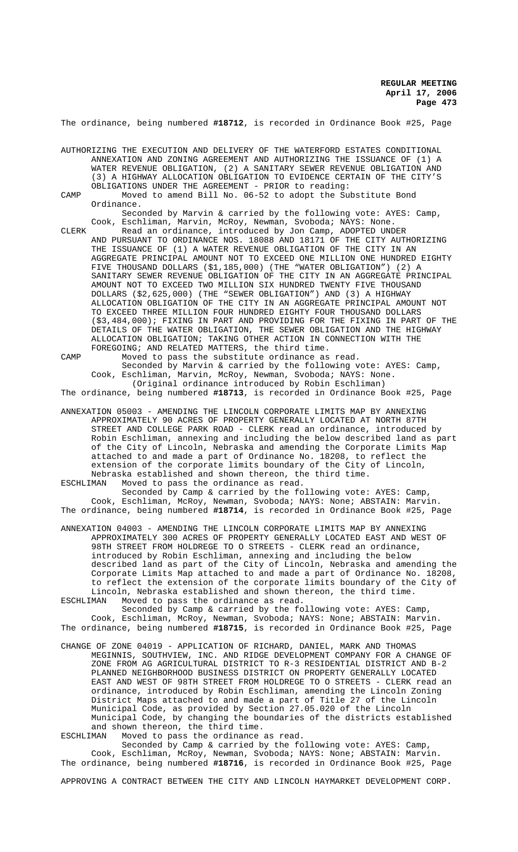The ordinance, being numbered **#18712**, is recorded in Ordinance Book #25, Page

AUTHORIZING THE EXECUTION AND DELIVERY OF THE WATERFORD ESTATES CONDITIONAL ANNEXATION AND ZONING AGREEMENT AND AUTHORIZING THE ISSUANCE OF (1) A WATER REVENUE OBLIGATION, (2) A SANITARY SEWER REVENUE OBLIGATION AND (3) A HIGHWAY ALLOCATION OBLIGATION TO EVIDENCE CERTAIN OF THE CITY'S OBLIGATIONS UNDER THE AGREEMENT - PRIOR to reading:

CAMP Moved to amend Bill No. 06-52 to adopt the Substitute Bond Ordinance.

Seconded by Marvin & carried by the following vote: AYES: Camp, Cook, Eschliman, Marvin, McRoy, Newman, Svoboda; NAYS: None.

CLERK Read an ordinance, introduced by Jon Camp, ADOPTED UNDER AND PURSUANT TO ORDINANCE NOS. 18088 AND 18171 OF THE CITY AUTHORIZING THE ISSUANCE OF (1) A WATER REVENUE OBLIGATION OF THE CITY IN AN AGGREGATE PRINCIPAL AMOUNT NOT TO EXCEED ONE MILLION ONE HUNDRED EIGHTY FIVE THOUSAND DOLLARS (\$1,185,000) (THE "WATER OBLIGATION") (2) A SANITARY SEWER REVENUE OBLIGATION OF THE CITY IN AN AGGREGATE PRINCIPAL AMOUNT NOT TO EXCEED TWO MILLION SIX HUNDRED TWENTY FIVE THOUSAND DOLLARS (\$2,625,000) (THE "SEWER OBLIGATION") AND (3) A HIGHWAY ALLOCATION OBLIGATION OF THE CITY IN AN AGGREGATE PRINCIPAL AMOUNT NOT TO EXCEED THREE MILLION FOUR HUNDRED EIGHTY FOUR THOUSAND DOLLARS (\$3,484,000); FIXING IN PART AND PROVIDING FOR THE FIXING IN PART OF THE DETAILS OF THE WATER OBLIGATION, THE SEWER OBLIGATION AND THE HIGHWAY ALLOCATION OBLIGATION; TAKING OTHER ACTION IN CONNECTION WITH THE FOREGOING; AND RELATED MATTERS, the third time.

CAMP Moved to pass the substitute ordinance as read. Seconded by Marvin & carried by the following vote: AYES: Camp, Cook, Eschliman, Marvin, McRoy, Newman, Svoboda; NAYS: None. (Original ordinance introduced by Robin Eschliman) The ordinance, being numbered **#18713**, is recorded in Ordinance Book #25, Page

ANNEXATION 05003 - AMENDING THE LINCOLN CORPORATE LIMITS MAP BY ANNEXING APPROXIMATELY 90 ACRES OF PROPERTY GENERALLY LOCATED AT NORTH 87TH STREET AND COLLEGE PARK ROAD - CLERK read an ordinance, introduced by Robin Eschliman, annexing and including the below described land as part of the City of Lincoln, Nebraska and amending the Corporate Limits Map attached to and made a part of Ordinance No. 18208, to reflect the extension of the corporate limits boundary of the City of Lincoln,

Nebraska established and shown thereon, the third time.<br>ESCHLIMAN Moved to pass the ordinance as read. Moved to pass the ordinance as read. Seconded by Camp & carried by the following vote: AYES: Camp,

Cook, Eschliman, McRoy, Newman, Svoboda; NAYS: None; ABSTAIN: Marvin. The ordinance, being numbered **#18714**, is recorded in Ordinance Book #25, Page

ANNEXATION 04003 - AMENDING THE LINCOLN CORPORATE LIMITS MAP BY ANNEXING APPROXIMATELY 300 ACRES OF PROPERTY GENERALLY LOCATED EAST AND WEST OF 98TH STREET FROM HOLDREGE TO O STREETS - CLERK read an ordinance, introduced by Robin Eschliman, annexing and including the below described land as part of the City of Lincoln, Nebraska and amending the Corporate Limits Map attached to and made a part of Ordinance No. 18208, to reflect the extension of the corporate limits boundary of the City of Lincoln, Nebraska established and shown thereon, the third time.

ESCHLIMAN Moved to pass the ordinance as read. Seconded by Camp & carried by the following vote: AYES: Camp Cook, Eschliman, McRoy, Newman, Svoboda; NAYS: None; ABSTAIN: Marvin. The ordinance, being numbered **#18715**, is recorded in Ordinance Book #25, Page

CHANGE OF ZONE 04019 - APPLICATION OF RICHARD, DANIEL, MARK AND THOMAS MEGINNIS, SOUTHVIEW, INC. AND RIDGE DEVELOPMENT COMPANY FOR A CHANGE OF ZONE FROM AG AGRICULTURAL DISTRICT TO R-3 RESIDENTIAL DISTRICT AND B-2 PLANNED NEIGHBORHOOD BUSINESS DISTRICT ON PROPERTY GENERALLY LOCATED EAST AND WEST OF 98TH STREET FROM HOLDREGE TO O STREETS - CLERK read an ordinance, introduced by Robin Eschliman, amending the Lincoln Zoning District Maps attached to and made a part of Title 27 of the Lincoln Municipal Code, as provided by Section 27.05.020 of the Lincoln Municipal Code, by changing the boundaries of the districts established and shown thereon, the third time.<br>ESCHLIMAN Moved to pass the ordinance

Moved to pass the ordinance as read.

Seconded by Camp & carried by the following vote: AYES: Camp, Cook, Eschliman, McRoy, Newman, Svoboda; NAYS: None; ABSTAIN: Marvin. The ordinance, being numbered **#18716**, is recorded in Ordinance Book #25, Page

APPROVING A CONTRACT BETWEEN THE CITY AND LINCOLN HAYMARKET DEVELOPMENT CORP.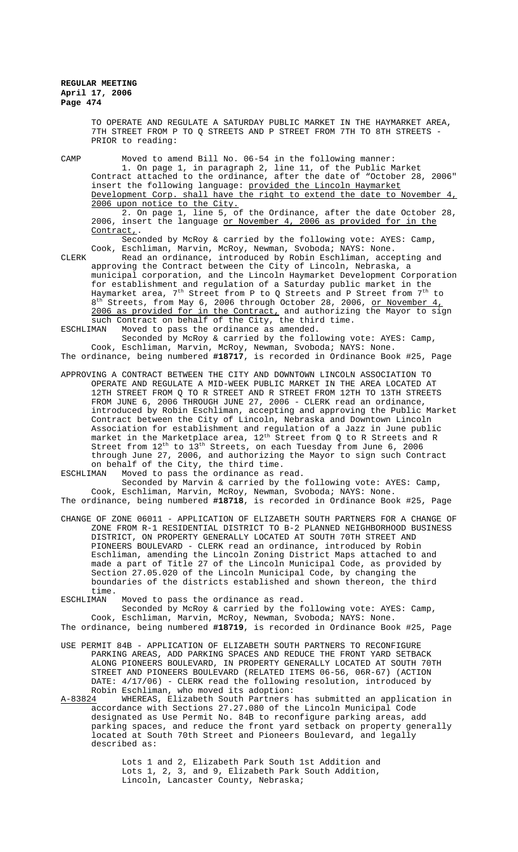TO OPERATE AND REGULATE A SATURDAY PUBLIC MARKET IN THE HAYMARKET AREA, 7TH STREET FROM P TO Q STREETS AND P STREET FROM 7TH TO 8TH STREETS - PRIOR to reading:

CAMP Moved to amend Bill No. 06-54 in the following manner: 1. On page 1, in paragraph 2, line 11, of the Public Market Contract attached to the ordinance, after the date of "October 28, 2006" insert the following language: provided the Lincoln Haymarket Development Corp. shall have the right to extend the date to November 4, 2006 upon notice to the City.

2. On page 1, line 5, of the Ordinance, after the date October 28, 2006, insert the language or November 4, 2006 as provided for in the Contract,.

Seconded by McRoy & carried by the following vote: AYES: Camp, Cook, Eschliman, Marvin, McRoy, Newman, Svoboda; NAYS: None.

CLERK Read an ordinance, introduced by Robin Eschliman, accepting and approving the Contract between the City of Lincoln, Nebraska, a municipal corporation, and the Lincoln Haymarket Development Corporation for establishment and regulation of a Saturday public market in the Haymarket area,  $7^{\rm th}$  Street from P to Q Streets and P Street from  $7^{\rm th}$  to 8<sup>th</sup> Streets, from May 6, 2006 through October 28, 2006, <u>or November 4,</u> 2006 as provided for in the Contract, and authorizing the Mayor to sign such Contract on behalf of the City, the third time.<br>ESCHLIMAN Moved to pass the ordinance as amended.

Moved to pass the ordinance as amended.

Seconded by McRoy & carried by the following vote: AYES: Camp, Cook, Eschliman, Marvin, McRoy, Newman, Svoboda; NAYS: None. The ordinance, being numbered **#18717**, is recorded in Ordinance Book #25, Page

APPROVING A CONTRACT BETWEEN THE CITY AND DOWNTOWN LINCOLN ASSOCIATION TO OPERATE AND REGULATE A MID-WEEK PUBLIC MARKET IN THE AREA LOCATED AT 12TH STREET FROM Q TO R STREET AND R STREET FROM 12TH TO 13TH STREETS FROM JUNE 6, 2006 THROUGH JUNE 27, 2006 - CLERK read an ordinance, introduced by Robin Eschliman, accepting and approving the Public Market Contract between the City of Lincoln, Nebraska and Downtown Lincoln Association for establishment and regulation of a Jazz in June public market in the Marketplace area,  $12^{\text{th}}$  Street from Q to R Streets and R Street from  $12^{th}$  to  $13^{th}$  Streets, on each Tuesday from June 6, 2006 through June 27, 2006, and authorizing the Mayor to sign such Contract on behalf of the City, the third time.<br>ESCHLIMAN Moved to pass the ordinance as r

Moved to pass the ordinance as read.

Seconded by Marvin & carried by the following vote: AYES: Camp, Cook, Eschliman, Marvin, McRoy, Newman, Svoboda; NAYS: None. The ordinance, being numbered **#18718**, is recorded in Ordinance Book #25, Page

CHANGE OF ZONE 06011 - APPLICATION OF ELIZABETH SOUTH PARTNERS FOR A CHANGE OF ZONE FROM R-1 RESIDENTIAL DISTRICT TO B-2 PLANNED NEIGHBORHOOD BUSINESS DISTRICT, ON PROPERTY GENERALLY LOCATED AT SOUTH 70TH STREET AND PIONEERS BOULEVARD - CLERK read an ordinance, introduced by Robin Eschliman, amending the Lincoln Zoning District Maps attached to and made a part of Title 27 of the Lincoln Municipal Code, as provided by Section 27.05.020 of the Lincoln Municipal Code, by changing the boundaries of the districts established and shown thereon, the third time.

ESCHLIMAN Moved to pass the ordinance as read. Seconded by McRoy & carried by the following vote: AYES: Camp, Cook, Eschliman, Marvin, McRoy, Newman, Svoboda; NAYS: None.

The ordinance, being numbered **#18719**, is recorded in Ordinance Book #25, Page

USE PERMIT 84B - APPLICATION OF ELIZABETH SOUTH PARTNERS TO RECONFIGURE PARKING AREAS, ADD PARKING SPACES AND REDUCE THE FRONT YARD SETBACK ALONG PIONEERS BOULEVARD, IN PROPERTY GENERALLY LOCATED AT SOUTH 70TH STREET AND PIONEERS BOULEVARD (RELATED ITEMS 06-56, 06R-67) (ACTION DATE: 4/17/06) - CLERK read the following resolution, introduced by Robin Eschliman, who moved its adoption:<br>A-83824 WHEREAS, Elizabeth South Partners

WHEREAS, Elizabeth South Partners has submitted an application in accordance with Sections 27.27.080 of the Lincoln Municipal Code designated as Use Permit No. 84B to reconfigure parking areas, add parking spaces, and reduce the front yard setback on property generally located at South 70th Street and Pioneers Boulevard, and legally described as:

> Lots 1 and 2, Elizabeth Park South 1st Addition and Lots 1, 2, 3, and 9, Elizabeth Park South Addition, Lincoln, Lancaster County, Nebraska;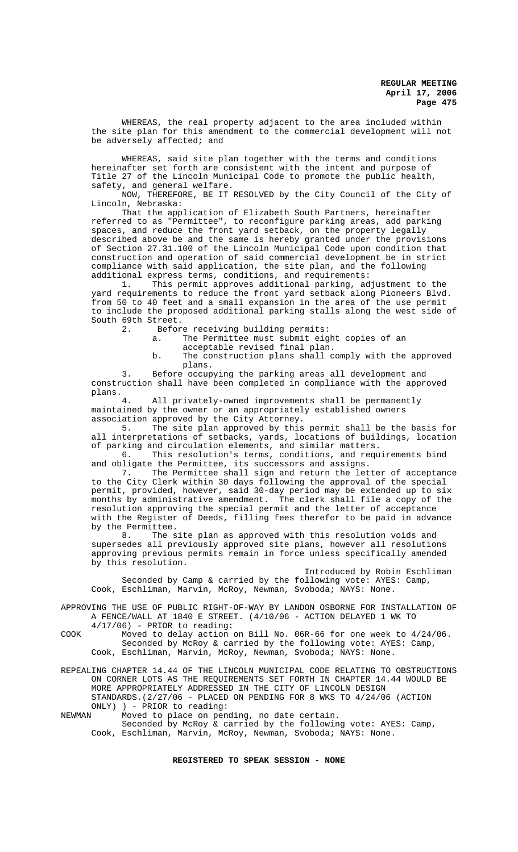WHEREAS, the real property adjacent to the area included within the site plan for this amendment to the commercial development will not be adversely affected; and

WHEREAS, said site plan together with the terms and conditions hereinafter set forth are consistent with the intent and purpose of Title 27 of the Lincoln Municipal Code to promote the public health, safety, and general welfare.

NOW, THEREFORE, BE IT RESOLVED by the City Council of the City of Lincoln, Nebraska:

That the application of Elizabeth South Partners, hereinafter referred to as "Permittee", to reconfigure parking areas, add parking spaces, and reduce the front yard setback, on the property legally described above be and the same is hereby granted under the provisions of Section 27.31.100 of the Lincoln Municipal Code upon condition that construction and operation of said commercial development be in strict compliance with said application, the site plan, and the following additional express terms, conditions, and requirements:

1. This permit approves additional parking, adjustment to the yard requirements to reduce the front yard setback along Pioneers Blvd. from 50 to 40 feet and a small expansion in the area of the use permit to include the proposed additional parking stalls along the west side of South 69th Street.<br>2. Before

Before receiving building permits:

a. The Permittee must submit eight copies of an

acceptable revised final plan.

b. The construction plans shall comply with the approved plans.

3. Before occupying the parking areas all development and construction shall have been completed in compliance with the approved plans.

All privately-owned improvements shall be permanently maintained by the owner or an appropriately established owners association approved by the City Attorney.

5. The site plan approved by this permit shall be the basis for all interpretations of setbacks, yards, locations of buildings, location of parking and circulation elements, and similar matters.

6. This resolution's terms, conditions, and requirements bind and obligate the Permittee, its successors and assigns.

7. The Permittee shall sign and return the letter of acceptance to the City Clerk within 30 days following the approval of the special permit, provided, however, said 30-day period may be extended up to six months by administrative amendment. The clerk shall file a copy of the resolution approving the special permit and the letter of acceptance with the Register of Deeds, filling fees therefor to be paid in advance by the Permittee.<br>8. The s

The site plan as approved with this resolution voids and supersedes all previously approved site plans, however all resolutions approving previous permits remain in force unless specifically amended by this resolution.

Introduced by Robin Eschliman Seconded by Camp & carried by the following vote: AYES: Camp, Cook, Eschliman, Marvin, McRoy, Newman, Svoboda; NAYS: None.

APPROVING THE USE OF PUBLIC RIGHT-OF-WAY BY LANDON OSBORNE FOR INSTALLATION OF A FENCE/WALL AT 1840 E STREET. (4/10/06 - ACTION DELAYED 1 WK TO 4/17/06) - PRIOR to reading:

COOK Moved to delay action on Bill No. 06R-66 for one week to 4/24/06. Seconded by McRoy & carried by the following vote: AYES: Camp, Cook, Eschliman, Marvin, McRoy, Newman, Svoboda; NAYS: None.

REPEALING CHAPTER 14.44 OF THE LINCOLN MUNICIPAL CODE RELATING TO OBSTRUCTIONS ON CORNER LOTS AS THE REQUIREMENTS SET FORTH IN CHAPTER 14.44 WOULD BE MORE APPROPRIATELY ADDRESSED IN THE CITY OF LINCOLN DESIGN STANDARDS.(2/27/06 - PLACED ON PENDING FOR 8 WKS TO 4/24/06 (ACTION ONLY) ) - PRIOR to reading:

NEWMAN Moved to place on pending, no date certain.

Seconded by McRoy & carried by the following vote: AYES: Camp, Cook, Eschliman, Marvin, McRoy, Newman, Svoboda; NAYS: None.